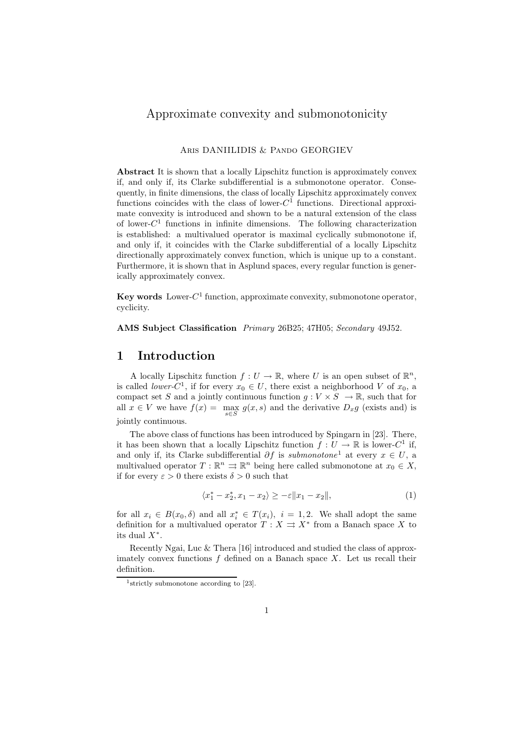## Approximate convexity and submonotonicity

## Aris DANIILIDIS & Pando GEORGIEV

**Abstract** It is shown that a locally Lipschitz function is approximately convex if, and only if, its Clarke subdifferential is a submonotone operator. Consequently, in finite dimensions, the class of locally Lipschitz approximately convex functions coincides with the class of lower- $C^1$  functions. Directional approximate convexity is introduced and shown to be a natural extension of the class of lower- $C<sup>1</sup>$  functions in infinite dimensions. The following characterization is established: a multivalued operator is maximal cyclically submonotone if, and only if, it coincides with the Clarke subdifferential of a locally Lipschitz directionally approximately convex function, which is unique up to a constant. Furthermore, it is shown that in Asplund spaces, every regular function is generically approximately convex.

**Key words** Lower- $C^1$  function, approximate convexity, submonotone operator, cyclicity.

**AMS Subject Classification** *Primary* 26B25; 47H05; *Secondary* 49J52.

## **1 Introduction**

A locally Lipschitz function  $f: U \to \mathbb{R}$ , where U is an open subset of  $\mathbb{R}^n$ , is called *lower-C*<sup>1</sup>, if for every  $x_0 \in U$ , there exist a neighborhood V of  $x_0$ , a compact set S and a jointly continuous function  $g: V \times S \to \mathbb{R}$ , such that for all  $x \in V$  we have  $f(x) = \max_{s \in S} g(x, s)$  and the derivative  $D_x g$  (exists and) is jointly continuous.

The above class of functions has been introduced by Spingarn in [23]. There, it has been shown that a locally Lipschitz function  $f: U \to \mathbb{R}$  is lower-C<sup>1</sup> if, and only if, its Clarke subdifferential  $\partial f$  is *submonotone*<sup>1</sup> at every  $x \in U$ , a multivalued operator  $T : \mathbb{R}^n \Rightarrow \mathbb{R}^n$  being here called submonotone at  $x_0 \in X$ , if for every  $\varepsilon > 0$  there exists  $\delta > 0$  such that

$$
\langle x_1^* - x_2^*, x_1 - x_2 \rangle \ge -\varepsilon \| x_1 - x_2 \|, \tag{1}
$$

for all  $x_i \in B(x_0, \delta)$  and all  $x_i^* \in T(x_i)$ ,  $i = 1, 2$ . We shall adopt the same definition for a multivalued operator  $T : X \rightrightarrows X^*$  from a Banach space X to its dual  $X^*$ .

Recently Ngai, Luc & Thera [16] introduced and studied the class of approximately convex functions  $f$  defined on a Banach space  $X$ . Let us recall their definition.

<sup>&</sup>lt;sup>1</sup>strictly submonotone according to [23].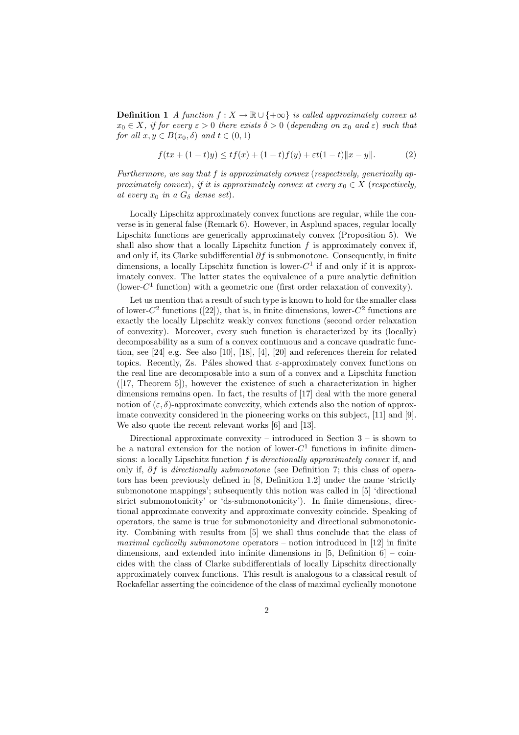**Definition 1** *A function*  $f: X \to \mathbb{R} \cup \{+\infty\}$  *is called approximately convex at*  $x_0 \in X$ *, if for every*  $\varepsilon > 0$  *there exists*  $\delta > 0$  (*depending on*  $x_0$  *and*  $\varepsilon$ ) *such that for all*  $x, y \in B(x_0, \delta)$  *and*  $t \in (0, 1)$ 

$$
f(tx + (1-t)y) \le tf(x) + (1-t)f(y) + \varepsilon t(1-t) \|x - y\|.
$$
 (2)

*Furthermore, we say that* f *is approximately convex* (*respectively, generically approximately convex*)*, if it is approximately convex at every*  $x_0 \in X$  (*respectively, at every*  $x_0$  *in a*  $G_\delta$  *dense set*).

Locally Lipschitz approximately convex functions are regular, while the converse is in general false (Remark 6). However, in Asplund spaces, regular locally Lipschitz functions are generically approximately convex (Proposition 5). We shall also show that a locally Lipschitz function  $f$  is approximately convex if, and only if, its Clarke subdifferential  $\partial f$  is submonotone. Consequently, in finite dimensions, a locally Lipschitz function is lower- $C<sup>1</sup>$  if and only if it is approximately convex. The latter states the equivalence of a pure analytic definition (lower- $C<sup>1</sup>$  function) with a geometric one (first order relaxation of convexity).

Let us mention that a result of such type is known to hold for the smaller class of lower- $C^2$  functions ([22]), that is, in finite dimensions, lower- $C^2$  functions are exactly the locally Lipschitz weakly convex functions (second order relaxation of convexity). Moreover, every such function is characterized by its (locally) decomposability as a sum of a convex continuous and a concave quadratic function, see [24] e.g. See also [10], [18], [4], [20] and references therein for related topics. Recently, Zs. Páles showed that  $\varepsilon$ -approximately convex functions on the real line are decomposable into a sum of a convex and a Lipschitz function  $([17, Theorem 5]),$  however the existence of such a characterization in higher dimensions remains open. In fact, the results of [17] deal with the more general notion of  $(\varepsilon, \delta)$ -approximate convexity, which extends also the notion of approximate convexity considered in the pioneering works on this subject, [11] and [9]. We also quote the recent relevant works [6] and [13].

Directional approximate convexity – introduced in Section  $3 -$  is shown to be a natural extension for the notion of lower- $C<sup>1</sup>$  functions in infinite dimensions: a locally Lipschitz function f is *directionally approximately convex* if, and only if, ∂f is *directionally submonotone* (see Definition 7; this class of operators has been previously defined in [8, Definition 1.2] under the name 'strictly submonotone mappings'; subsequently this notion was called in [5] 'directional strict submonotonicity' or 'ds-submonotonicity'). In finite dimensions, directional approximate convexity and approximate convexity coincide. Speaking of operators, the same is true for submonotonicity and directional submonotonicity. Combining with results from [5] we shall thus conclude that the class of *maximal cyclically submonotone* operators – notion introduced in [12] in finite dimensions, and extended into infinite dimensions in  $[5,$  Definition  $6$  – coincides with the class of Clarke subdifferentials of locally Lipschitz directionally approximately convex functions. This result is analogous to a classical result of Rockafellar asserting the coincidence of the class of maximal cyclically monotone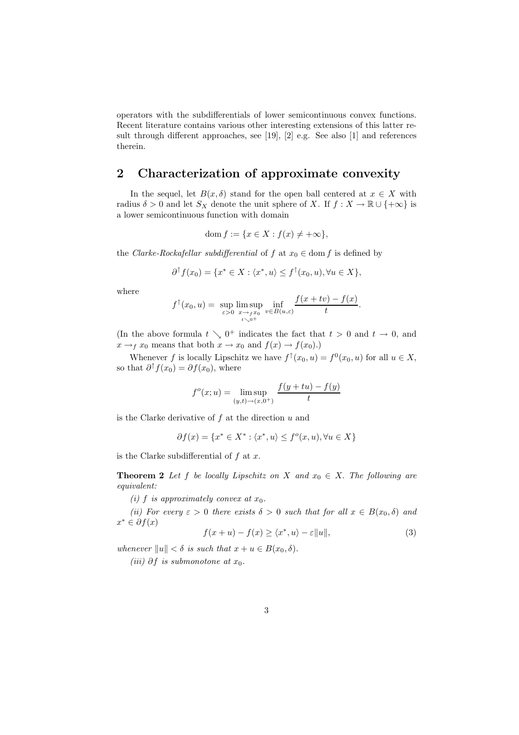operators with the subdifferentials of lower semicontinuous convex functions. Recent literature contains various other interesting extensions of this latter result through different approaches, see [19], [2] e.g. See also [1] and references therein.

## **2 Characterization of approximate convexity**

In the sequel, let  $B(x, \delta)$  stand for the open ball centered at  $x \in X$  with radius  $\delta > 0$  and let  $S_X$  denote the unit sphere of X. If  $f : X \to \mathbb{R} \cup \{+\infty\}$  is a lower semicontinuous function with domain

$$
\operatorname{dom} f := \{ x \in X : f(x) \neq +\infty \},
$$

the *Clarke-Rockafellar subdifferential* of f at  $x_0 \in \text{dom } f$  is defined by

$$
\partial^{\uparrow} f(x_0) = \{ x^* \in X : \langle x^*, u \rangle \le f^{\uparrow}(x_0, u), \forall u \in X \},
$$

where

$$
f^{\uparrow}(x_0, u) = \sup_{\varepsilon > 0} \limsup_{\substack{x \to f x_0 \\ t \searrow 0^+}} \inf_{v \in B(u, \varepsilon)} \frac{f(x + tv) - f(x)}{t}.
$$

(In the above formula  $t \searrow 0^+$  indicates the fact that  $t > 0$  and  $t \to 0$ , and  $x \rightarrow_f x_0$  means that both  $x \rightarrow x_0$  and  $f(x) \rightarrow f(x_0)$ .

Whenever f is locally Lipschitz we have  $f^{\uparrow}(x_0, u) = f^0(x_0, u)$  for all  $u \in X$ , so that  $\partial^{\uparrow} f(x_0) = \partial f(x_0)$ , where

$$
f^{o}(x; u) = \limsup_{(y,t)\to(x,0^{+})} \frac{f(y+tu) - f(y)}{t}
$$

is the Clarke derivative of  $f$  at the direction  $u$  and

$$
\partial f(x) = \{x^* \in X^* : \langle x^*, u \rangle \le f^o(x, u), \forall u \in X\}
$$

is the Clarke subdifferential of  $f$  at  $x$ .

**Theorem 2** *Let* f *be locally Lipschitz on* X and  $x_0 \in X$ . The following are *equivalent:*

*(i)*  $f$  *is approximately convex at*  $x_0$ *.* 

*(ii)* For every  $\varepsilon > 0$  there exists  $\delta > 0$  such that for all  $x \in B(x_0, \delta)$  and  $x^* \in \partial f(x)$ 

$$
f(x+u) - f(x) \ge \langle x^*, u \rangle - \varepsilon ||u||,
$$
\n(3)

*whenever*  $||u|| < \delta$  *is such that*  $x + u \in B(x_0, \delta)$ *.* 

*(iii)* ∂*f is submonotone at*  $x_0$ *.*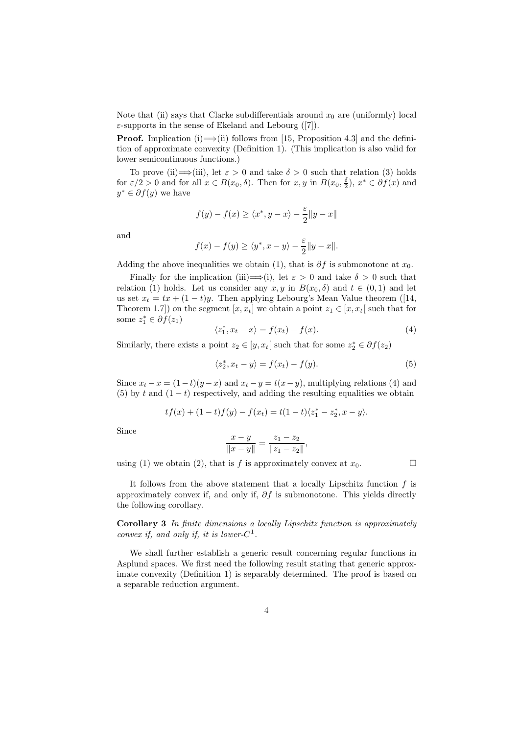Note that (ii) says that Clarke subdifferentials around  $x_0$  are (uniformly) local  $\varepsilon$ -supports in the sense of Ekeland and Lebourg ([7]).

**Proof.** Implication (i)  $\implies$  (ii) follows from [15, Proposition 4.3] and the definition of approximate convexity (Definition 1). (This implication is also valid for lower semicontinuous functions.)

To prove (ii)  $\implies$  (iii), let  $\varepsilon > 0$  and take  $\delta > 0$  such that relation (3) holds for  $\varepsilon/2 > 0$  and for all  $x \in B(x_0, \delta)$ . Then for  $x, y$  in  $B(x_0, \frac{\delta}{2})$ ,  $x^* \in \partial f(x)$  and  $y^* \in \partial f(y)$  we have

$$
f(y) - f(x) \ge \langle x^*, y - x \rangle - \frac{\varepsilon}{2} \|y - x\|
$$

and

$$
f(x) - f(y) \ge \langle y^*, x - y \rangle - \frac{\varepsilon}{2} ||y - x||.
$$

Adding the above inequalities we obtain (1), that is  $\partial f$  is submonotone at  $x_0$ .

Finally for the implication (iii)  $\Longrightarrow$  (i), let  $\varepsilon > 0$  and take  $\delta > 0$  such that relation (1) holds. Let us consider any  $x, y$  in  $B(x_0, \delta)$  and  $t \in (0, 1)$  and let us set  $x_t = tx + (1-t)y$ . Then applying Lebourg's Mean Value theorem ([14, Theorem 1.7]) on the segment  $[x, x_t]$  we obtain a point  $z_1 \in [x, x_t]$  such that for some  $z_1^* \in \partial f(z_1)$ 

$$
\langle z_1^*, x_t - x \rangle = f(x_t) - f(x). \tag{4}
$$

Similarly, there exists a point  $z_2 \in [y, x_t]$  such that for some  $z_2^* \in \partial f(z_2)$ 

$$
\langle z_2^*, x_t - y \rangle = f(x_t) - f(y). \tag{5}
$$

Since  $x_t - x = (1-t)(y-x)$  and  $x_t - y = t(x-y)$ , multiplying relations (4) and (5) by t and  $(1-t)$  respectively, and adding the resulting equalities we obtain

$$
tf(x) + (1-t)f(y) - f(x_t) = t(1-t)\langle z_1^* - z_2^*, x - y \rangle.
$$

Since

$$
\frac{x-y}{\|x-y\|} = \frac{z_1 - z_2}{\|z_1 - z_2\|},
$$

using (1) we obtain (2), that is f is approximately convex at  $x_0$ .

It follows from the above statement that a locally Lipschitz function  $f$  is approximately convex if, and only if,  $\partial f$  is submonotone. This yields directly the following corollary.

**Corollary 3** *In finite dimensions a locally Lipschitz function is approximately convex if, and only if, it is lower-C*<sup>1</sup>.

We shall further establish a generic result concerning regular functions in Asplund spaces. We first need the following result stating that generic approximate convexity (Definition 1) is separably determined. The proof is based on a separable reduction argument.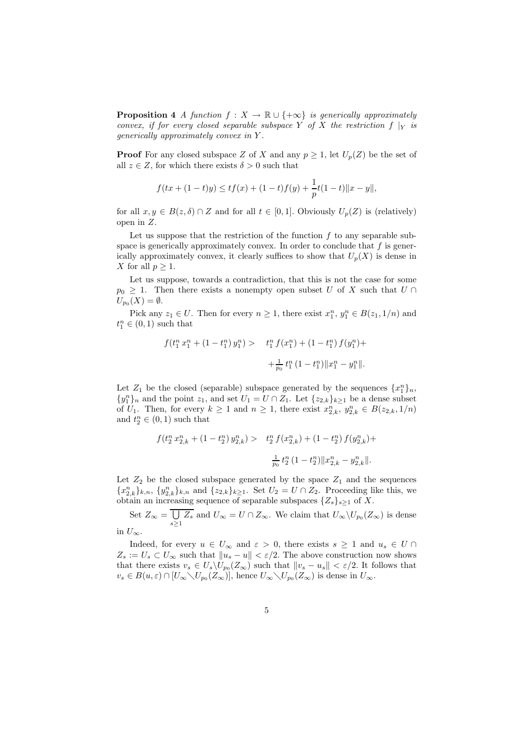**Proposition 4** *A function*  $f: X \to \mathbb{R} \cup \{+\infty\}$  *is generically approximately convex, if for every closed separable subspace* Y *of* X *the restriction*  $f|_Y$  *is generically approximately convex in* Y *.*

**Proof** For any closed subspace Z of X and any  $p \geq 1$ , let  $U_p(Z)$  be the set of all  $z \in Z$ , for which there exists  $\delta > 0$  such that

$$
f(tx+(1-t)y) \le tf(x) + (1-t)f(y) + \frac{1}{p}t(1-t) ||x-y||,
$$

for all  $x, y \in B(z, \delta) \cap Z$  and for all  $t \in [0, 1]$ . Obviously  $U_p(Z)$  is (relatively) open in Z.

Let us suppose that the restriction of the function  $f$  to any separable subspace is generically approximately convex. In order to conclude that  $f$  is generically approximately convex, it clearly suffices to show that  $U_p(X)$  is dense in X for all  $p \geq 1$ .

Let us suppose, towards a contradiction, that this is not the case for some  $p_0 \geq 1$ . Then there exists a nonempty open subset U of X such that  $U \cap$  $U_{p_0}(X) = \emptyset.$ 

Pick any  $z_1 \in U$ . Then for every  $n \geq 1$ , there exist  $x_1^n, y_1^n \in B(z_1, 1/n)$  and  $t_1^n \in (0,1)$  such that

$$
f(t_1^n x_1^n + (1 - t_1^n) y_1^n) > t_1^n f(x_1^n) + (1 - t_1^n) f(y_1^n) + \frac{1}{p_0} t_1^n (1 - t_1^n) \|x_1^n - y_1^n\|.
$$

Let  $Z_1$  be the closed (separable) subspace generated by the sequences  $\{x_1^n\}_n$ ,  $\{y_1^n\}_n$  and the point  $z_1$ , and set  $U_1 = U \cap Z_1$ . Let  $\{z_{2,k}\}_{k \geq 1}$  be a dense subset of  $U_1$ . Then, for every  $k \geq 1$  and  $n \geq 1$ , there exist  $x_{2,k}^n$ ,  $y_{2,k}^n \in B(z_{2,k}, 1/n)$ and  $t_2^n \in (0,1)$  such that

$$
\begin{array}{ll} f(t_2^n\,x_{2,k}^n + \left(1-t_2^n\right)y_{2,k}^n) > & t_2^n\,f(x_{2,k}^n) + \left(1-t_2^n\right)f(y_{2,k}^n) + \\ & \\ & \frac{1}{p_0}\,t_2^n\,(1-t_2^n)\|x_{2,k}^n-y_{2,k}^n\|. \end{array}
$$

Let  $Z_2$  be the closed subspace generated by the space  $Z_1$  and the sequences  ${x_{2,k}^n}_{k,n}$ ,  ${y_{2,k}^n}_{k,n}$  and  ${z_{2,k}}_{k\geq 1}$ . Set  $U_2 = U \cap Z_2$ . Proceeding like this, we obtain an increasing sequence of separable subspaces  $\{Z_s\}_{s>1}$  of X.

Set  $Z_{\infty} = \bigcup$  $\bigcup_{s\geq 1} Z_s$  and  $U_{\infty} = U \cap Z_{\infty}$ . We claim that  $U_{\infty} \backslash U_{p_0}(Z_{\infty})$  is dense

in  $U_{\infty}$ .

Indeed, for every  $u \in U_{\infty}$  and  $\varepsilon > 0$ , there exists  $s \geq 1$  and  $u_s \in U \cap$  $Z_s := U_s \subset U_\infty$  such that  $||u_s - u|| < \varepsilon/2$ . The above construction now shows that there exists  $v_s \in U_s \backslash U_{p_0}(Z_\infty)$  such that  $||v_s - u_s|| < \varepsilon/2$ . It follows that  $v_s \in B(u,\varepsilon) \cap [U_{\infty}\backslash U_{p_0}(Z_{\infty})],$  hence  $U_{\infty}\backslash U_{p_0}(Z_{\infty})$  is dense in  $U_{\infty}$ .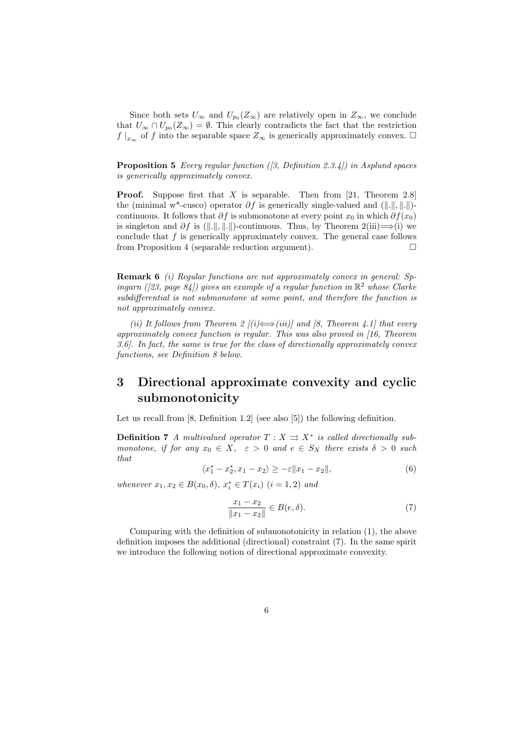Since both sets  $U_{\infty}$  and  $U_{p_0}(Z_{\infty})$  are relatively open in  $Z_{\infty}$ , we conclude that  $U_{\infty} \cap U_{p_0}(Z_{\infty}) = \emptyset$ . This clearly contradicts the fact that the restriction  $f\vert_{z_{\infty}}$  of f into the separable space  $Z_{\infty}$  is generically approximately convex.  $\Box$ 

**Proposition 5** *Every regular function ([3, Definition 2.3.4]) in Asplund spaces is generically approximately convex.*

**Proof.** Suppose first that X is separable. Then from [21, Theorem 2.8] the (minimal w<sup>\*</sup>-cusco) operator  $\partial f$  is generically single-valued and ( $\|\|\|\,\|\,\|\,\|$ )continuous. It follows that ∂f is submonotone at every point  $x_0$  in which  $\partial f(x_0)$ is singleton and  $\partial f$  is ( $\|\|\|\|\$ )-continuous. Thus, by Theorem 2(iii)  $\implies$  (i) we conclude that  $f$  is generically approximately convex. The general case follows from Proposition 4 (separable reduction argument).  $\Box$ 

**Remark 6** *(i) Regular functions are not approximately convex in general: Spingarn ([23, page 84]) gives an example of a regular function in*  $\mathbb{R}^2$  whose Clarke *subdifferential is not submonotone at some point, and therefore the function is not approximately convex.*

*(ii) It follows from Theorem 2 [(i)*  $\Longleftrightarrow$  *(iii)] and [8, Theorem 4.1] that every approximately convex function is regular. This was also proved in [16, Theorem 3.6]. In fact, the same is true for the class of directionally approximately convex functions, see Definition 8 below.*

# **3 Directional approximate convexity and cyclic submonotonicity**

Let us recall from [8, Definition 1.2] (see also [5]) the following definition.

**Definition 7** *A multivalued operator*  $T : X \rightrightarrows X^*$  *is called directionally submonotone, if for any*  $x_0 \in X$ ,  $\varepsilon > 0$  *and*  $e \in S_X$  *there exists*  $\delta > 0$  *such that*

$$
\langle x_1^* - x_2^*, x_1 - x_2 \rangle \ge -\varepsilon \| x_1 - x_2 \|, \tag{6}
$$

 $whenever x_1, x_2 \in B(x_0, \delta), x_i^* \in T(x_i)$  (*i* = 1, 2) and

$$
\frac{x_1 - x_2}{\|x_1 - x_2\|} \in B(e, \delta).
$$
 (7)

Comparing with the definition of submonotonicity in relation (1), the above definition imposes the additional (directional) constraint (7). In the same spirit we introduce the following notion of directional approximate convexity.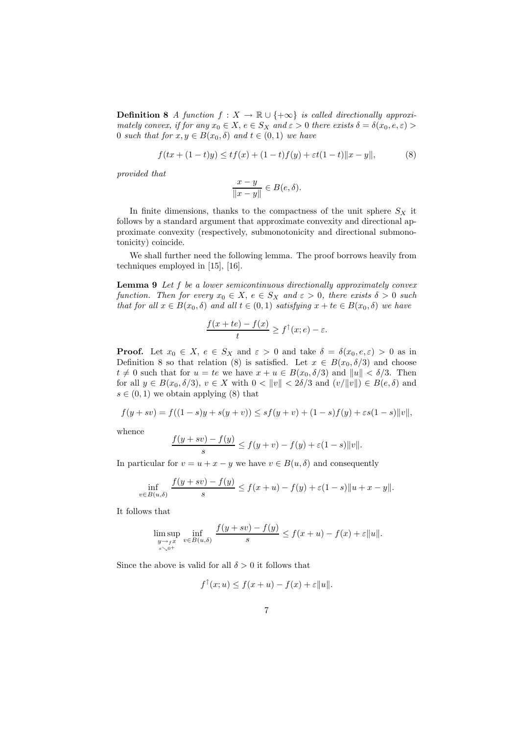**Definition 8** *A function*  $f: X \to \mathbb{R} \cup \{+\infty\}$  *is called directionally approximately convex, if for any*  $x_0 \in X$ ,  $e \in S_X$  *and*  $\varepsilon > 0$  *there exists*  $\delta = \delta(x_0, e, \varepsilon)$ 0 *such that for*  $x, y \in B(x_0, \delta)$  *and*  $t \in (0, 1)$  *we have* 

$$
f(tx + (1-t)y) \le tf(x) + (1-t)f(y) + \varepsilon t(1-t) \|x - y\|,
$$
 (8)

*provided that*

$$
\frac{x-y}{\|x-y\|} \in B(e,\delta).
$$

In finite dimensions, thanks to the compactness of the unit sphere  $S_X$  it follows by a standard argument that approximate convexity and directional approximate convexity (respectively, submonotonicity and directional submonotonicity) coincide.

We shall further need the following lemma. The proof borrows heavily from techniques employed in [15], [16].

**Lemma 9** *Let* f *be a lower semicontinuous directionally approximately convex function. Then for every*  $x_0 \in X$ ,  $e \in S_X$  *and*  $\varepsilon > 0$ , *there exists*  $\delta > 0$  *such that for all*  $x \in B(x_0, \delta)$  *and all*  $t \in (0, 1)$  *satisfying*  $x + te \in B(x_0, \delta)$  *we have* 

$$
\frac{f(x+te)-f(x)}{t} \ge f^{\uparrow}(x;e) - \varepsilon.
$$

**Proof.** Let  $x_0 \in X$ ,  $e \in S_X$  and  $\varepsilon > 0$  and take  $\delta = \delta(x_0, e, \varepsilon) > 0$  as in Definition 8 so that relation (8) is satisfied. Let  $x \in B(x_0, \delta/3)$  and choose  $t \neq 0$  such that for  $u = te$  we have  $x + u \in B(x_0, \delta/3)$  and  $||u|| < \delta/3$ . Then for all  $y \in B(x_0, \delta/3)$ ,  $v \in X$  with  $0 < ||v|| < 2\delta/3$  and  $(v/||v||) \in B(e, \delta)$  and  $s \in (0,1)$  we obtain applying (8) that

$$
f(y+sv) = f((1-s)y + s(y+v)) \le sf(y+v) + (1-s)f(y) + \varepsilon s(1-s) ||v||,
$$

whence

$$
\frac{f(y+sv)-f(y)}{s} \le f(y+v)-f(y)+\varepsilon(1-s)\|v\|.
$$

In particular for  $v = u + x - y$  we have  $v \in B(u, \delta)$  and consequently

$$
\inf_{v \in B(u,\delta)} \frac{f(y+sv) - f(y)}{s} \le f(x+u) - f(y) + \varepsilon(1-s) \|u + x - y\|.
$$

It follows that

$$
\limsup_{\substack{y \to f x \\ s \searrow 0^+}} \inf_{v \in B(u,\delta)} \frac{f(y+sv) - f(y)}{s} \le f(x+u) - f(x) + \varepsilon ||u||.
$$

Since the above is valid for all  $\delta > 0$  it follows that

$$
f^{\top}(x; u) \le f(x+u) - f(x) + \varepsilon ||u||.
$$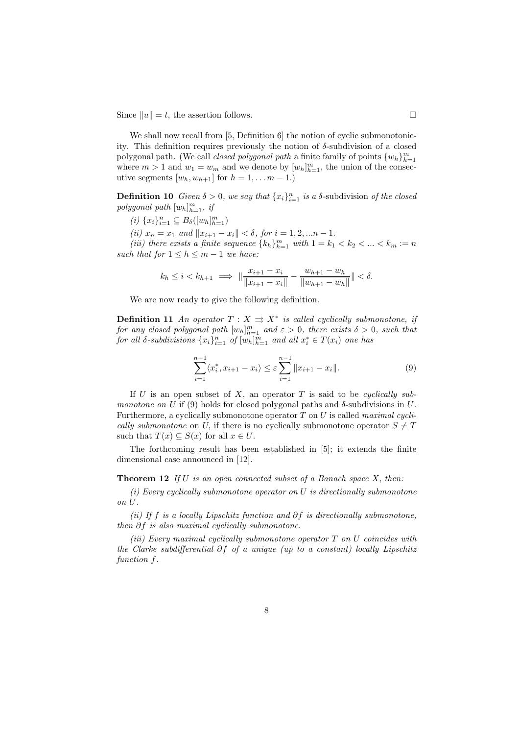Since  $||u|| = t$ , the assertion follows.

We shall now recall from [5, Definition 6] the notion of cyclic submonotonicity. This definition requires previously the notion of  $\delta$ -subdivision of a closed polygonal path. (We call *closed polygonal path* a finite family of points  $\{w_h\}_{h=1}^m$ where  $m > 1$  and  $w_1 = w_m$  and we denote by  $[w_h]_{h=1}^m$ , the union of the consecutive segments  $[w_h, w_{h+1}]$  for  $h = 1, \ldots m - 1$ .

**Definition 10** *Given*  $\delta > 0$ *, we say that*  $\{x_i\}_{i=1}^n$  *is a*  $\delta$ -subdivision *of the closed*  $polygonal path [w_h]_{h=1}^m$ , *if* 

- $(i) \{x_i\}_{i=1}^n \subseteq B_\delta([w_h]_{h=1}^m)$
- *(ii)*  $x_n = x_1$  *and*  $||x_{i+1} x_i|| < \delta$ , *for*  $i = 1, 2, ... n 1$ .

*(iii) there exists a finite sequence*  ${k_h}_{h=1}^m$  *with*  $1 = k_1 < k_2 < ... < k_m := n$ *such that for*  $1 \leq h \leq m-1$  *we have:* 

$$
k_h \le i < k_{h+1} \implies \|\frac{x_{i+1} - x_i}{\|x_{i+1} - x_i\|} - \frac{w_{h+1} - w_h}{\|w_{h+1} - w_h\|} \| < \delta.
$$

We are now ready to give the following definition.

**Definition 11** *An operator*  $T : X \rightrightarrows X^*$  *is called cyclically submonotone, if for any closed polygonal path*  $[w_h]_{h=1}^m$  *and*  $\varepsilon > 0$ *, there exists*  $\delta > 0$ *, such that for all*  $\delta$ -subdivisions  $\{x_i\}_{i=1}^n$  of  $[w_h]_{h=1}^m$  and all  $x_i^* \in T(x_i)$  one has

$$
\sum_{i=1}^{n-1} \langle x_i^*, x_{i+1} - x_i \rangle \le \varepsilon \sum_{i=1}^{n-1} \| x_{i+1} - x_i \|.
$$
 (9)

If U is an open subset of X, an operator T is said to be *cyclically submonotone on* U if (9) holds for closed polygonal paths and  $\delta$ -subdivisions in U. Furthermore, a cyclically submonotone operator T on U is called *maximal cyclically submonotone* on U, if there is no cyclically submonotone operator  $S \neq T$ such that  $T(x) \subseteq S(x)$  for all  $x \in U$ .

The forthcoming result has been established in [5]; it extends the finite dimensional case announced in [12].

**Theorem 12** *If* U *is an open connected subset of a Banach space* X, *then:*

*(i) Every cyclically submonotone operator on* U *is directionally submonotone on* U*.*

*(ii) If* f *is a locally Lipschitz function and* ∂f *is directionally submonotone, then* ∂f *is also maximal cyclically submonotone.*

*(iii) Every maximal cyclically submonotone operator* T *on* U *coincides with the Clarke subdifferential* ∂f *of a unique (up to a constant) locally Lipschitz function* f*.*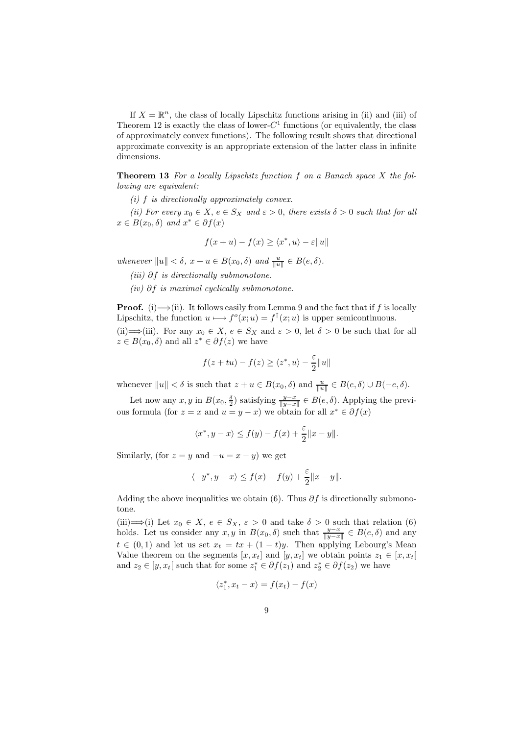If  $X = \mathbb{R}^n$ , the class of locally Lipschitz functions arising in (ii) and (iii) of Theorem 12 is exactly the class of lower- $C^1$  functions (or equivalently, the class of approximately convex functions). The following result shows that directional approximate convexity is an appropriate extension of the latter class in infinite dimensions.

**Theorem 13** *For a locally Lipschitz function* f *on a Banach space* X *the following are equivalent:*

*(i)* f *is directionally approximately convex.*

*(ii)* For every  $x_0 \in X$ ,  $e \in S_X$  and  $\varepsilon > 0$ , there exists  $\delta > 0$  such that for all  $x \in B(x_0, \delta)$  *and*  $x^* \in \partial f(x)$ 

$$
f(x+u) - f(x) \ge \langle x^*, u \rangle - \varepsilon ||u||
$$

*whenever*  $||u|| < \delta$ ,  $x + u \in B(x_0, \delta)$  *and*  $\frac{u}{||u||} \in B(e, \delta)$ *.* 

- *(iii)* ∂f *is directionally submonotone.*
- *(iv)* ∂f *is maximal cyclically submonotone.*

**Proof.** (i)  $\Longrightarrow$  (ii). It follows easily from Lemma 9 and the fact that if f is locally Lipschitz, the function  $u \mapsto f^o(x; u) = f^{\uparrow}(x; u)$  is upper semicontinuous. (ii)  $\implies$  (iii). For any  $x_0 \in X$ ,  $e \in S_X$  and  $\varepsilon > 0$ , let  $\delta > 0$  be such that for all

 $z \in B(x_0, \delta)$  and all  $z^* \in \partial f(z)$  we have

$$
f(z+tu) - f(z) \ge \langle z^*, u \rangle - \frac{\varepsilon}{2} ||u||
$$

whenever  $||u|| < \delta$  is such that  $z + u \in B(x_0, \delta)$  and  $\frac{u}{||u||} \in B(e, \delta) \cup B(-e, \delta)$ .

Let now any  $x, y$  in  $B(x_0, \frac{\delta}{2})$  satisfying  $\frac{y-x}{\|y-x\|} \in B(e, \delta)$ . Applying the previous formula (for  $z = x$  and  $u = y - x$ ) we obtain for all  $x^* \in \partial f(x)$ 

$$
\langle x^*, y - x \rangle \le f(y) - f(x) + \frac{\varepsilon}{2} ||x - y||.
$$

Similarly, (for  $z = y$  and  $-u = x - y$ ) we get

$$
\langle -y^*, y - x \rangle \le f(x) - f(y) + \frac{\varepsilon}{2} ||x - y||.
$$

Adding the above inequalities we obtain (6). Thus  $\partial f$  is directionally submonotone.

(iii)  $\implies$  (i) Let  $x_0 \in X$ ,  $e \in S_X$ ,  $\varepsilon > 0$  and take  $\delta > 0$  such that relation (6) holds. Let us consider any  $x, y$  in  $B(x_0, \delta)$  such that  $\frac{y-x}{\|y-x\|} \in B(e, \delta)$  and any  $t \in (0,1)$  and let us set  $x_t = tx + (1-t)y$ . Then applying Lebourg's Mean Value theorem on the segments  $[x, x_t]$  and  $[y, x_t]$  we obtain points  $z_1 \in [x, x_t]$ and  $z_2 \in [y, x_t]$  such that for some  $z_1^* \in \partial f(z_1)$  and  $z_2^* \in \partial f(z_2)$  we have

$$
\langle z_1^*, x_t - x \rangle = f(x_t) - f(x)
$$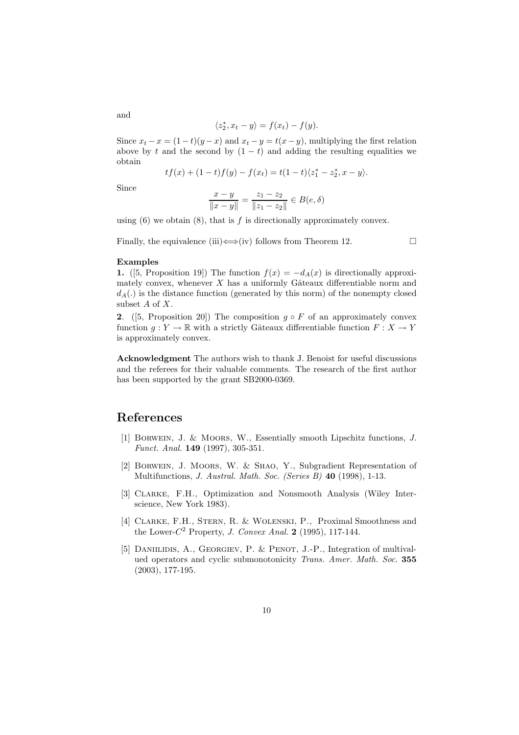$$
\langle z_2^*, x_t - y \rangle = f(x_t) - f(y).
$$

Since  $x_t - x = (1 - t)(y - x)$  and  $x_t - y = t(x - y)$ , multiplying the first relation above by t and the second by  $(1 - t)$  and adding the resulting equalities we obtain

$$
tf(x) + (1-t)f(y) - f(x_t) = t(1-t)\langle z_1^* - z_2^*, x - y \rangle.
$$

Since

and

$$
\frac{x-y}{\|x-y\|} = \frac{z_1 - z_2}{\|z_1 - z_2\|} \in B(e, \delta)
$$

using  $(6)$  we obtain  $(8)$ , that is f is directionally approximately convex.

Finally, the equivalence (iii)  $\Longleftrightarrow$  (iv) follows from Theorem 12.

### **Examples**

**1.** ([5, Proposition 19]) The function  $f(x) = -d_A(x)$  is directionally approximately convex, whenever  $X$  has a uniformly Gâteaux differentiable norm and  $d_A(.)$  is the distance function (generated by this norm) of the nonempty closed subset  $A$  of  $X$ .

**2.** ([5, Proposition 20]) The composition  $g \circ F$  of an approximately convex function  $g: Y \to \mathbb{R}$  with a strictly Gâteaux differentiable function  $F: X \to Y$ is approximately convex.

**Acknowledgment** The authors wish to thank J. Benoist for useful discussions and the referees for their valuable comments. The research of the first author has been supported by the grant SB2000-0369.

# **References**

- [1] Borwein, J. & Moors, W., Essentially smooth Lipschitz functions, *J. Funct. Anal.* **149** (1997), 305-351.
- [2] Borwein, J. Moors, W. & Shao, Y., Subgradient Representation of Multifunctions, *J. Austral. Math. Soc. (Series B)* **40** (1998), 1-13.
- [3] Clarke, F.H., Optimization and Nonsmooth Analysis (Wiley Interscience, New York 1983).
- [4] CLARKE, F.H., STERN, R. & WOLENSKI, P., Proximal Smoothness and the Lower- $C^2$  Property, *J. Convex Anal.* **2** (1995), 117-144.
- [5] DANIILIDIS, A., GEORGIEV, P. & PENOT, J.-P., Integration of multivalued operators and cyclic submonotonicity *Trans. Amer. Math. Soc.* **355** (2003), 177-195.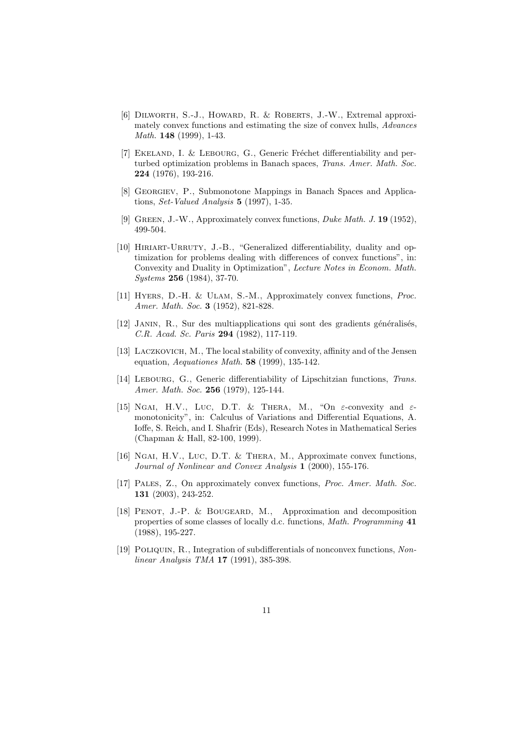- [6] Dilworth, S.-J., Howard, R. & Roberts, J.-W., Extremal approximately convex functions and estimating the size of convex hulls, *Advances Math.* **148** (1999), 1-43.
- [7] EKELAND, I. & LEBOURG, G., Generic Fréchet differentiability and perturbed optimization problems in Banach spaces, *Trans. Amer. Math. Soc.* **224** (1976), 193-216.
- [8] Georgiev, P., Submonotone Mappings in Banach Spaces and Applications, *Set-Valued Analysis* **5** (1997), 1-35.
- [9] Green, J.-W., Approximately convex functions, *Duke Math. J.* **19** (1952), 499-504.
- [10] HIRIART-URRUTY, J.-B., "Generalized differentiability, duality and optimization for problems dealing with differences of convex functions", in: Convexity and Duality in Optimization", *Lecture Notes in Econom. Math. Systems* **256** (1984), 37-70.
- [11] Hyers, D.-H. & Ulam, S.-M., Approximately convex functions, *Proc. Amer. Math. Soc.* **3** (1952), 821-828.
- [12] JANIN, R., Sur des multiapplications qui sont des gradients généralisés, *C.R. Acad. Sc. Paris* **294** (1982), 117-119.
- [13] LACZKOVICH, M., The local stability of convexity, affinity and of the Jensen equation, *Aequationes Math.* **58** (1999), 135-142.
- [14] Lebourg, G., Generic differentiability of Lipschitzian functions, *Trans. Amer. Math. Soc.* **256** (1979), 125-144.
- [15] NGAI, H.V., LUC, D.T. & THERA, M., "On  $\varepsilon$ -convexity and  $\varepsilon$ monotonicity", in: Calculus of Variations and Differential Equations, A. Ioffe, S. Reich, and I. Shafrir (Eds), Research Notes in Mathematical Series (Chapman & Hall, 82-100, 1999).
- [16] NGAI, H.V., LUC, D.T. & THERA, M., Approximate convex functions, *Journal of Nonlinear and Convex Analysis* **1** (2000), 155-176.
- [17] Pales, Z., On approximately convex functions, *Proc. Amer. Math. Soc.* **131** (2003), 243-252.
- [18] Penot, J.-P. & Bougeard, M., Approximation and decomposition properties of some classes of locally d.c. functions, *Math. Programming* **41** (1988), 195-227.
- [19] Poliquin, R., Integration of subdifferentials of nonconvex functions, *Nonlinear Analysis TMA* **17** (1991), 385-398.